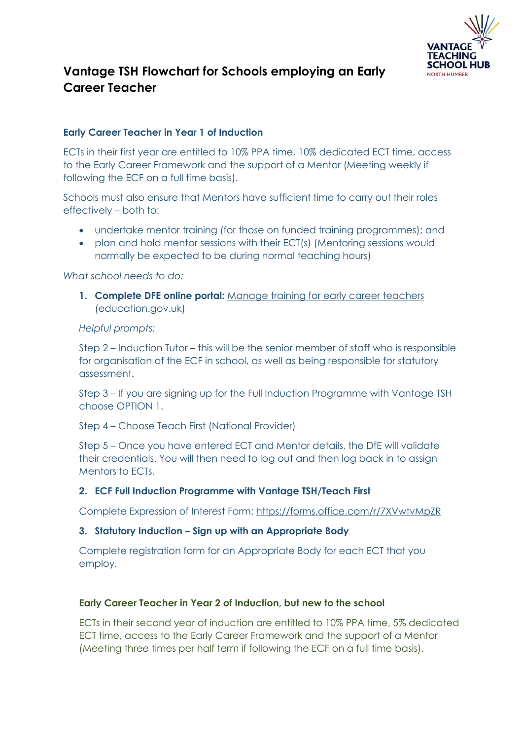

# **Vantage TSH Flowchart for Schools employing an Early Career Teacher**

## **Early Career Teacher in Year 1 of Induction**

ECTs in their first year are entitled to 10% PPA time, 10% dedicated ECT time, access to the Early Career Framework and the support of a Mentor (Meeting weekly if following the ECF on a full time basis).

Schools must also ensure that Mentors have sufficient time to carry out their roles effectively – both to:

- undertake mentor training (for those on funded training programmes); and
- plan and hold mentor sessions with their ECT(s) (Mentoring sessions would normally be expected to be during normal teaching hours)

*What school needs to do:* 

**1. Complete DFE online portal:** [Manage training for early career teachers](https://manage-training-for-early-career-teachers.education.gov.uk/)  [\(education.gov.uk\)](https://manage-training-for-early-career-teachers.education.gov.uk/)

#### *Helpful prompts:*

Step 2 – Induction Tutor – this will be the senior member of staff who is responsible for organisation of the ECF in school, as well as being responsible for statutory assessment.

Step 3 – If you are signing up for the Full Induction Programme with Vantage TSH choose OPTION 1.

### Step 4 – Choose Teach First (National Provider)

Step 5 – Once you have entered ECT and Mentor details, the DfE will validate their credentials. You will then need to log out and then log back in to assign Mentors to ECTs.

### **2. ECF Full Induction Programme with Vantage TSH/Teach First**

Complete Expression of Interest Form:<https://forms.office.com/r/7XVwtvMpZR>

### **3. Statutory Induction – Sign up with an Appropriate Body**

Complete registration form for an Appropriate Body for each ECT that you employ.

### **Early Career Teacher in Year 2 of Induction, but new to the school**

ECTs in their second year of induction are entitled to 10% PPA time, 5% dedicated ECT time, access to the Early Career Framework and the support of a Mentor (Meeting three times per half term if following the ECF on a full time basis).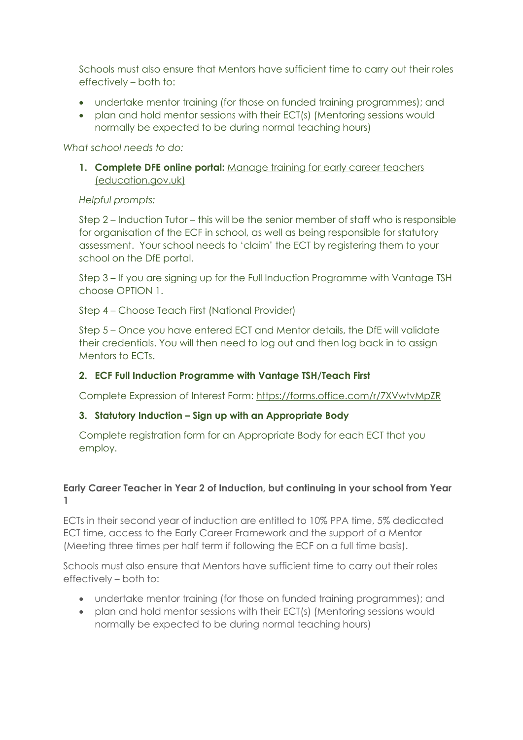Schools must also ensure that Mentors have sufficient time to carry out their roles effectively – both to:

- undertake mentor training (for those on funded training programmes); and
- plan and hold mentor sessions with their ECT(s) (Mentoring sessions would normally be expected to be during normal teaching hours)

*What school needs to do:* 

**1. Complete DFE online portal:** [Manage training for early career teachers](https://manage-training-for-early-career-teachers.education.gov.uk/)  [\(education.gov.uk\)](https://manage-training-for-early-career-teachers.education.gov.uk/)

#### *Helpful prompts:*

Step 2 – Induction Tutor – this will be the senior member of staff who is responsible for organisation of the ECF in school, as well as being responsible for statutory assessment. Your school needs to 'claim' the ECT by registering them to your school on the DfE portal.

Step 3 – If you are signing up for the Full Induction Programme with Vantage TSH choose OPTION 1.

Step 4 – Choose Teach First (National Provider)

Step 5 – Once you have entered ECT and Mentor details, the DfE will validate their credentials. You will then need to log out and then log back in to assign Mentors to ECTs.

### **2. ECF Full Induction Programme with Vantage TSH/Teach First**

Complete Expression of Interest Form:<https://forms.office.com/r/7XVwtvMpZR>

### **3. Statutory Induction – Sign up with an Appropriate Body**

Complete registration form for an Appropriate Body for each ECT that you employ.

# **Early Career Teacher in Year 2 of Induction, but continuing in your school from Year 1**

ECTs in their second year of induction are entitled to 10% PPA time, 5% dedicated ECT time, access to the Early Career Framework and the support of a Mentor (Meeting three times per half term if following the ECF on a full time basis).

Schools must also ensure that Mentors have sufficient time to carry out their roles effectively – both to:

- undertake mentor training (for those on funded training programmes); and
- plan and hold mentor sessions with their ECT(s) (Mentoring sessions would normally be expected to be during normal teaching hours)